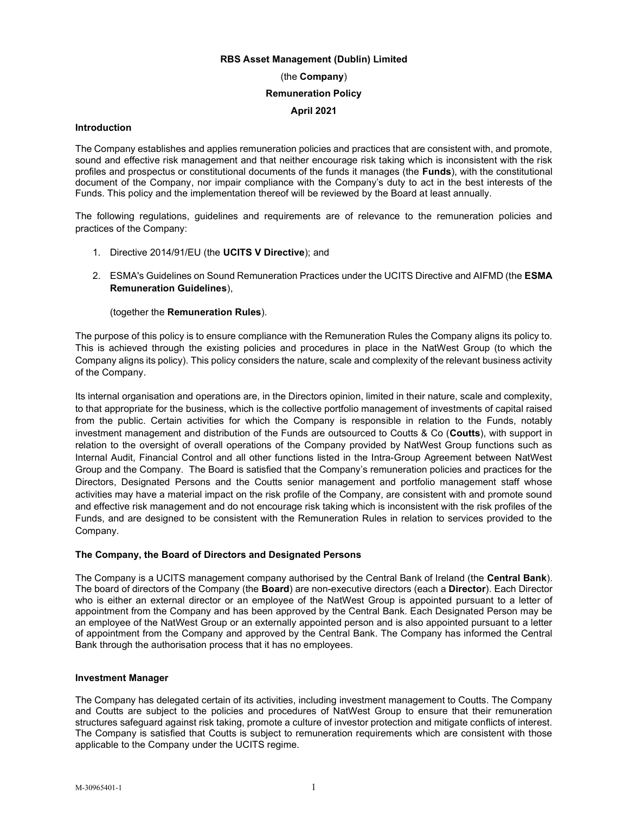#### RBS Asset Management (Dublin) Limited

# (the Company) Remuneration Policy April 2021

#### Introduction

The Company establishes and applies remuneration policies and practices that are consistent with, and promote, sound and effective risk management and that neither encourage risk taking which is inconsistent with the risk profiles and prospectus or constitutional documents of the funds it manages (the Funds), with the constitutional document of the Company, nor impair compliance with the Company's duty to act in the best interests of the Funds. This policy and the implementation thereof will be reviewed by the Board at least annually.

The following regulations, guidelines and requirements are of relevance to the remuneration policies and practices of the Company:

- 1. Directive 2014/91/EU (the UCITS V Directive); and
- 2. ESMA's Guidelines on Sound Remuneration Practices under the UCITS Directive and AIFMD (the ESMA Remuneration Guidelines),

## (together the Remuneration Rules).

The purpose of this policy is to ensure compliance with the Remuneration Rules the Company aligns its policy to. This is achieved through the existing policies and procedures in place in the NatWest Group (to which the Company aligns its policy). This policy considers the nature, scale and complexity of the relevant business activity of the Company.

Its internal organisation and operations are, in the Directors opinion, limited in their nature, scale and complexity, to that appropriate for the business, which is the collective portfolio management of investments of capital raised from the public. Certain activities for which the Company is responsible in relation to the Funds, notably investment management and distribution of the Funds are outsourced to Coutts & Co (Coutts), with support in relation to the oversight of overall operations of the Company provided by NatWest Group functions such as Internal Audit, Financial Control and all other functions listed in the Intra-Group Agreement between NatWest Group and the Company. The Board is satisfied that the Company's remuneration policies and practices for the Directors, Designated Persons and the Coutts senior management and portfolio management staff whose activities may have a material impact on the risk profile of the Company, are consistent with and promote sound and effective risk management and do not encourage risk taking which is inconsistent with the risk profiles of the Funds, and are designed to be consistent with the Remuneration Rules in relation to services provided to the Company.

#### The Company, the Board of Directors and Designated Persons

The Company is a UCITS management company authorised by the Central Bank of Ireland (the Central Bank). The board of directors of the Company (the Board) are non-executive directors (each a Director). Each Director who is either an external director or an employee of the NatWest Group is appointed pursuant to a letter of appointment from the Company and has been approved by the Central Bank. Each Designated Person may be an employee of the NatWest Group or an externally appointed person and is also appointed pursuant to a letter of appointment from the Company and approved by the Central Bank. The Company has informed the Central Bank through the authorisation process that it has no employees.

#### Investment Manager

The Company has delegated certain of its activities, including investment management to Coutts. The Company and Coutts are subject to the policies and procedures of NatWest Group to ensure that their remuneration structures safeguard against risk taking, promote a culture of investor protection and mitigate conflicts of interest. The Company is satisfied that Coutts is subject to remuneration requirements which are consistent with those applicable to the Company under the UCITS regime.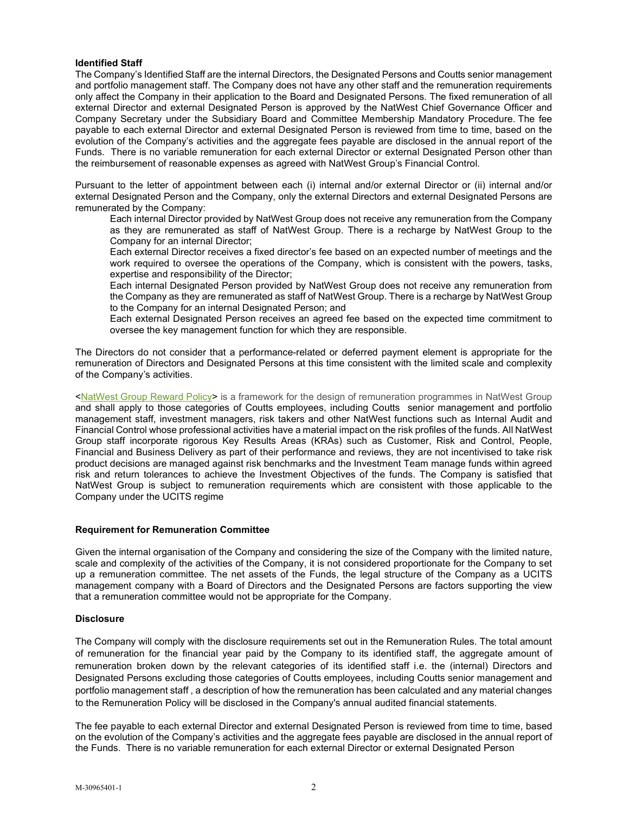#### Identified Staff

The Company's Identified Staff are the internal Directors, the Designated Persons and Coutts senior management and portfolio management staff. The Company does not have any other staff and the remuneration requirements only affect the Company in their application to the Board and Designated Persons. The fixed remuneration of all external Director and external Designated Person is approved by the NatWest Chief Governance Officer and Company Secretary under the Subsidiary Board and Committee Membership Mandatory Procedure. The fee payable to each external Director and external Designated Person is reviewed from time to time, based on the evolution of the Company's activities and the aggregate fees payable are disclosed in the annual report of the Funds. There is no variable remuneration for each external Director or external Designated Person other than the reimbursement of reasonable expenses as agreed with NatWest Group's Financial Control.

Pursuant to the letter of appointment between each (i) internal and/or external Director or (ii) internal and/or external Designated Person and the Company, only the external Directors and external Designated Persons are remunerated by the Company:

Each internal Director provided by NatWest Group does not receive any remuneration from the Company as they are remunerated as staff of NatWest Group. There is a recharge by NatWest Group to the Company for an internal Director;

Each external Director receives a fixed director's fee based on an expected number of meetings and the work required to oversee the operations of the Company, which is consistent with the powers, tasks, expertise and responsibility of the Director;

Each internal Designated Person provided by NatWest Group does not receive any remuneration from the Company as they are remunerated as staff of NatWest Group. There is a recharge by NatWest Group to the Company for an internal Designated Person; and

Each external Designated Person receives an agreed fee based on the expected time commitment to oversee the key management function for which they are responsible.

The Directors do not consider that a performance-related or deferred payment element is appropriate for the remuneration of Directors and Designated Persons at this time consistent with the limited scale and complexity of the Company's activities.

<NatWest Group Reward Policy> is a framework for the design of remuneration programmes in NatWest Group and shall apply to those categories of Coutts employees, including Coutts senior management and portfolio management staff, investment managers, risk takers and other NatWest functions such as Internal Audit and Financial Control whose professional activities have a material impact on the risk profiles of the funds. All NatWest Group staff incorporate rigorous Key Results Areas (KRAs) such as Customer, Risk and Control, People, Financial and Business Delivery as part of their performance and reviews, they are not incentivised to take risk product decisions are managed against risk benchmarks and the Investment Team manage funds within agreed risk and return tolerances to achieve the Investment Objectives of the funds. The Company is satisfied that NatWest Group is subject to remuneration requirements which are consistent with those applicable to the Company under the UCITS regime

#### Requirement for Remuneration Committee

Given the internal organisation of the Company and considering the size of the Company with the limited nature, scale and complexity of the activities of the Company, it is not considered proportionate for the Company to set up a remuneration committee. The net assets of the Funds, the legal structure of the Company as a UCITS management company with a Board of Directors and the Designated Persons are factors supporting the view that a remuneration committee would not be appropriate for the Company.

# **Disclosure**

The Company will comply with the disclosure requirements set out in the Remuneration Rules. The total amount of remuneration for the financial year paid by the Company to its identified staff, the aggregate amount of remuneration broken down by the relevant categories of its identified staff i.e. the (internal) Directors and Designated Persons excluding those categories of Coutts employees, including Coutts senior management and portfolio management staff , a description of how the remuneration has been calculated and any material changes to the Remuneration Policy will be disclosed in the Company's annual audited financial statements.

The fee payable to each external Director and external Designated Person is reviewed from time to time, based on the evolution of the Company's activities and the aggregate fees payable are disclosed in the annual report of the Funds. There is no variable remuneration for each external Director or external Designated Person